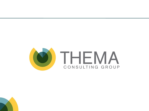

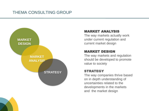

#### MARKET ANALYSIS

The way markets actually work under current regulation and current market design

#### MARKET DESIGN

The way markets and regulation should be developed to promote value to society

The way companies thrive based on in depth understanding of uncertainties related to the developments in the markets and the market design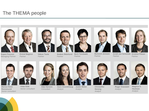## The THEMA people

*Partner*



**Espen Fossum** *Managing Partner*



**Eivind Magnus Håkon Taule** *Partner*



**Anders Skånlund** *Partner*



**Berit Tennbakk** *Partner*



**Åsmund Jenssen** *Partner*





**Arndt von Schemde Kristine Fiksen** *Partner Partner*



**Marius Holm Rennesund** *Senior consultant*



**Vidar Eide** *Senior consultant*



**Guro Gravdehaug** *Analyst*

*Consultant*



**Justin Wolst** *Analyst*

**Christoffer Noreng** *Analyst*





**Roger Grøndahl** *Analyst*

**Magnus S. Haukaas** *Analyst*

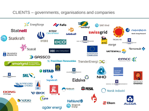### CLIENTS – governments, organisations and companies

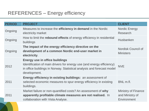# REFERENCES – Energy efficiency

| <b>PERIOD</b> | <b>PROJECT</b>                                                                                                                                                                                           | <b>CLIENT</b>                                                |
|---------------|----------------------------------------------------------------------------------------------------------------------------------------------------------------------------------------------------------|--------------------------------------------------------------|
| Ongoing       | Measures to increase the efficiency in demand in the Nordic<br>electricity market                                                                                                                        | <b>Nordic Energy</b><br><b>Research</b>                      |
| Ongoing       | How to limit the rebound effects of energy efficiency in residential<br>buildings                                                                                                                        | Husbanken                                                    |
| Ongoing       | The impact of the energy efficiency directive on the<br>development of a common Nordic end-user market in<br>electricity.                                                                                | Nordisk Council of<br><b>Ministers</b>                       |
| 2012          | <b>Energy use in office buildings</b><br>Identification of main drivers for energy use (and energy efficiency)<br>in office buildings in Norway. Statistical analysis and forecast model<br>development. | <b>NVE</b>                                                   |
| 2011          | <b>Energy efficiency in existing buildings:</b> an assessment of<br>selected economic measures to spur energy efficiency in existing<br>buildings.                                                       | BNL m.fl.                                                    |
| 2011          | Market failure or non-quantified costs? An assessment of why<br>apparently profitable climate measures are not realised. In<br>collaboration with Vista Analyse.                                         | <b>Ministry of Finance</b><br>and Ministry of<br>Environment |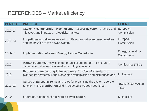# REFERENCES – Market efficiency

| <b>PERIOD</b> | <b>PROJECT</b>                                                                                                                                      | <b>CLIENT</b>                          |
|---------------|-----------------------------------------------------------------------------------------------------------------------------------------------------|----------------------------------------|
| 2012-13       | <b>Capacity Remuneration Mechanisms - assessing current practice and</b><br>initiatives and impacts on electricity markets                          | European<br>Commission                 |
| 2012-13       | <b>Loop-flows</b> – challenges related to differences between power markets<br>and the physics of the power system                                  | European<br>Commission                 |
| 2011-14       | <b>Implementation of a new Energy Law in Macedonia</b>                                                                                              | <b>Energy regulatory</b><br>Commission |
| 2012          | <b>Market coupling.</b> Analysis of opportunities and threats for a country<br>joining alternative regional market coupling solutions.              | Confidential (TSO)                     |
| 2012          | <b>Economic benefits of grid investments.</b> Cost/benefits analysis of<br>planned investments in the Norwegian transmission and distribution grid. | <b>Multi-client</b>                    |
| 2011-12       | Survey of European trends and rules for organising the system operator<br>function in the <b>distribution grid</b> in selected European countries.  | <b>Statnett(Norwegian</b><br>TSO)      |
| 2010          | Future development of the Nordic power sector.                                                                                                      | <b>Multi-client</b>                    |